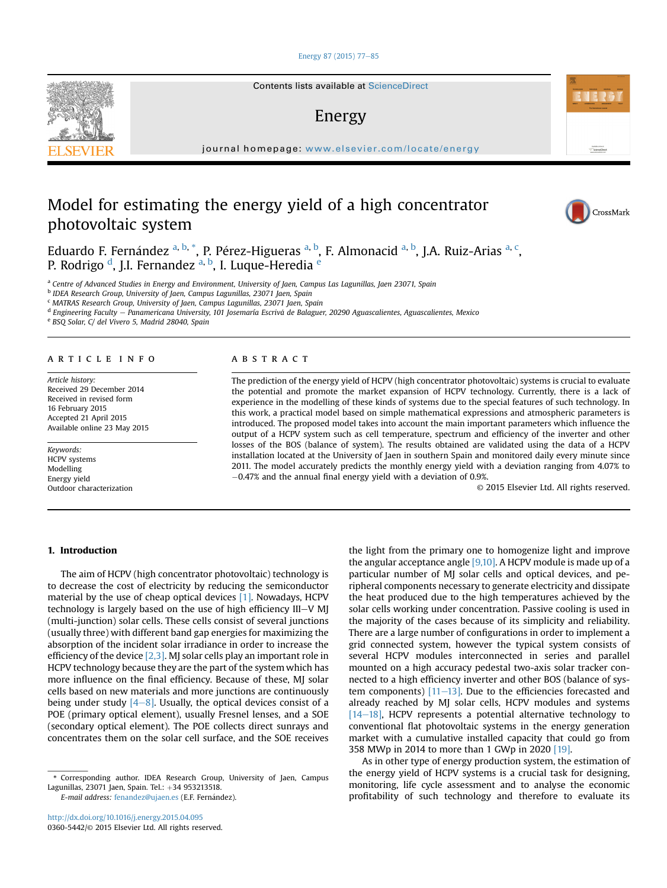#### [Energy 87 \(2015\) 77](http://dx.doi.org/10.1016/j.energy.2015.04.095)-[85](http://dx.doi.org/10.1016/j.energy.2015.04.095)

### Energy

 $j<sub>i</sub>$  and  $k<sub>i</sub>$  in the page: we want the complete  $\frac{1}{2}$ 

## Model for estimating the energy yield of a high concentrator photovoltaic system

Eduardo F. Fernández <sup>a, b,</sup> \*, P. Pérez-Higueras <sup>a, b</sup>, F. Almonacid <sup>a, b</sup>, J.A. Ruiz-Arias <sup>a, c</sup>, P. Rodrigo <sup>d</sup>, J.I. Fernandez <sup>a, b</sup>, I. Luque-Heredia <sup>e</sup>

<sup>a</sup> Centre of Advanced Studies in Energy and Environment, University of Jaen, Campus Las Lagunillas, Jaen 23071, Spain

<sup>b</sup> IDEA Research Group, University of Jaen, Campus Lagunillas, 23071 Jaen, Spain

<sup>c</sup> MATRAS Research Group, University of Jaen, Campus Lagunillas, 23071 Jaen, Spain

<sup>d</sup> Engineering Faculty – Panamericana University, 101 Josemaría Escrivá de Balaguer, 20290 Aguascalientes, Aguascalientes, Mexico

<sup>e</sup> BSQ Solar, C/ del Vivero 5, Madrid 28040, Spain

#### article info

Article history: Received 29 December 2014 Received in revised form 16 February 2015 Accepted 21 April 2015 Available online 23 May 2015

Keywords: HCPV systems Modelling Energy yield Outdoor characterization

#### ABSTRACT

The prediction of the energy yield of HCPV (high concentrator photovoltaic) systems is crucial to evaluate the potential and promote the market expansion of HCPV technology. Currently, there is a lack of experience in the modelling of these kinds of systems due to the special features of such technology. In this work, a practical model based on simple mathematical expressions and atmospheric parameters is introduced. The proposed model takes into account the main important parameters which influence the output of a HCPV system such as cell temperature, spectrum and efficiency of the inverter and other losses of the BOS (balance of system). The results obtained are validated using the data of a HCPV installation located at the University of Jaen in southern Spain and monitored daily every minute since 2011. The model accurately predicts the monthly energy yield with a deviation ranging from 4.07% to  $-0.47\%$  and the annual final energy yield with a deviation of 0.9%.

© 2015 Elsevier Ltd. All rights reserved.

#### 1. Introduction

The aim of HCPV (high concentrator photovoltaic) technology is to decrease the cost of electricity by reducing the semiconductor material by the use of cheap optical devices [1]. Nowadays, HCPV technology is largely based on the use of high efficiency III-V MJ (multi-junction) solar cells. These cells consist of several junctions (usually three) with different band gap energies for maximizing the absorption of the incident solar irradiance in order to increase the efficiency of the device  $[2,3]$ . MJ solar cells play an important role in HCPV technology because they are the part of the system which has more influence on the final efficiency. Because of these, MJ solar cells based on new materials and more junctions are continuously being under study  $[4-8]$ . Usually, the optical devices consist of a POE (primary optical element), usually Fresnel lenses, and a SOE (secondary optical element). The POE collects direct sunrays and concentrates them on the solar cell surface, and the SOE receives

\* Corresponding author. IDEA Research Group, University of Jaen, Campus Lagunillas, 23071 Jaen, Spain. Tel.:  $+34$  953213518.

E-mail address: [fenandez@ujaen.es](mailto:fenandez@ujaen.es) (E.F. Fernández).

the light from the primary one to homogenize light and improve the angular acceptance angle [9,10]. A HCPV module is made up of a particular number of MJ solar cells and optical devices, and peripheral components necessary to generate electricity and dissipate the heat produced due to the high temperatures achieved by the solar cells working under concentration. Passive cooling is used in the majority of the cases because of its simplicity and reliability. There are a large number of configurations in order to implement a grid connected system, however the typical system consists of several HCPV modules interconnected in series and parallel mounted on a high accuracy pedestal two-axis solar tracker connected to a high efficiency inverter and other BOS (balance of system components)  $[11-13]$ . Due to the efficiencies forecasted and already reached by MJ solar cells, HCPV modules and systems  $[14-18]$ , HCPV represents a potential alternative technology to conventional flat photovoltaic systems in the energy generation market with a cumulative installed capacity that could go from 358 MWp in 2014 to more than 1 GWp in 2020 [19].

As in other type of energy production system, the estimation of the energy yield of HCPV systems is a crucial task for designing, monitoring, life cycle assessment and to analyse the economic profitability of such technology and therefore to evaluate its





Antibiotics in<br>ScienceDire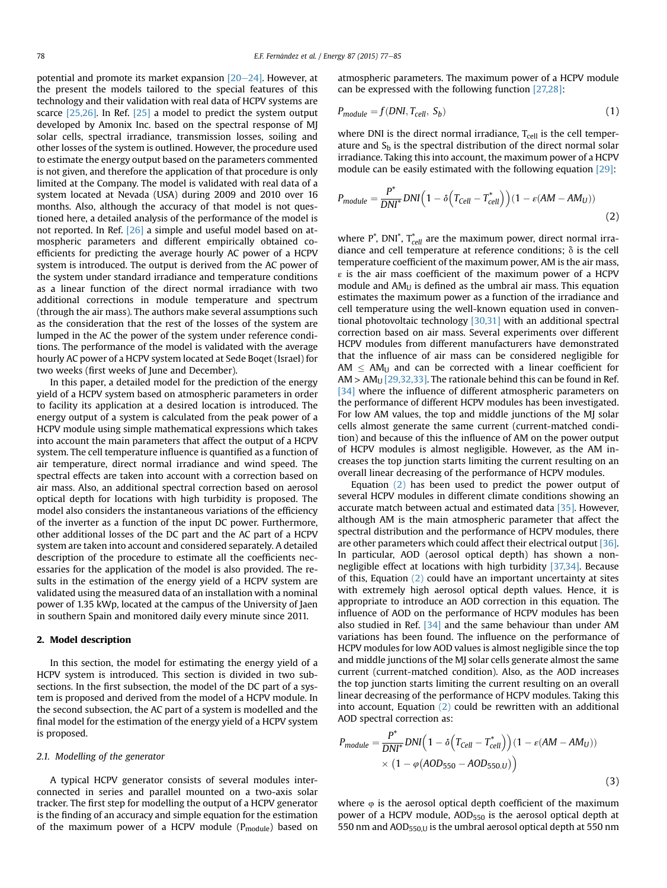potential and promote its market expansion  $[20-24]$ . However, at the present the models tailored to the special features of this technology and their validation with real data of HCPV systems are scarce [25,26]. In Ref. [25] a model to predict the system output developed by Amonix Inc. based on the spectral response of MJ solar cells, spectral irradiance, transmission losses, soiling and other losses of the system is outlined. However, the procedure used to estimate the energy output based on the parameters commented is not given, and therefore the application of that procedure is only limited at the Company. The model is validated with real data of a system located at Nevada (USA) during 2009 and 2010 over 16 months. Also, although the accuracy of that model is not questioned here, a detailed analysis of the performance of the model is not reported. In Ref. [26] a simple and useful model based on atmospheric parameters and different empirically obtained coefficients for predicting the average hourly AC power of a HCPV system is introduced. The output is derived from the AC power of the system under standard irradiance and temperature conditions as a linear function of the direct normal irradiance with two additional corrections in module temperature and spectrum (through the air mass). The authors make several assumptions such as the consideration that the rest of the losses of the system are lumped in the AC the power of the system under reference conditions. The performance of the model is validated with the average hourly AC power of a HCPV system located at Sede Boqet (Israel) for two weeks (first weeks of June and December).

In this paper, a detailed model for the prediction of the energy yield of a HCPV system based on atmospheric parameters in order to facility its application at a desired location is introduced. The energy output of a system is calculated from the peak power of a HCPV module using simple mathematical expressions which takes into account the main parameters that affect the output of a HCPV system. The cell temperature influence is quantified as a function of air temperature, direct normal irradiance and wind speed. The spectral effects are taken into account with a correction based on air mass. Also, an additional spectral correction based on aerosol optical depth for locations with high turbidity is proposed. The model also considers the instantaneous variations of the efficiency of the inverter as a function of the input DC power. Furthermore, other additional losses of the DC part and the AC part of a HCPV system are taken into account and considered separately. A detailed description of the procedure to estimate all the coefficients necessaries for the application of the model is also provided. The results in the estimation of the energy yield of a HCPV system are validated using the measured data of an installation with a nominal power of 1.35 kWp, located at the campus of the University of Jaen in southern Spain and monitored daily every minute since 2011.

#### 2. Model description

In this section, the model for estimating the energy yield of a HCPV system is introduced. This section is divided in two subsections. In the first subsection, the model of the DC part of a system is proposed and derived from the model of a HCPV module. In the second subsection, the AC part of a system is modelled and the final model for the estimation of the energy yield of a HCPV system is proposed.

#### 2.1. Modelling of the generator

A typical HCPV generator consists of several modules interconnected in series and parallel mounted on a two-axis solar tracker. The first step for modelling the output of a HCPV generator is the finding of an accuracy and simple equation for the estimation of the maximum power of a HCPV module  $(P_{module})$  based on atmospheric parameters. The maximum power of a HCPV module can be expressed with the following function [27,28]:

$$
P_{module} = f(DNI, T_{cell}, S_b)
$$
\n(1)

where DNI is the direct normal irradiance,  $T_{cell}$  is the cell temperature and  $S_b$  is the spectral distribution of the direct normal solar irradiance. Taking this into account, the maximum power of a HCPV module can be easily estimated with the following equation [29]:

$$
P_{module} = \frac{P^*}{DNI^*} DNI \Big( 1 - \delta \Big( T_{Cell} - T_{cell}^* \Big) \Big) (1 - \varepsilon (AM - AM_U))
$$
\n(2)

where  $P^*$ , DNI<sup>\*</sup>,  $T^*_{cell}$  are the maximum power, direct normal irradiance and cell temperature at reference conditions;  $\delta$  is the cell temperature coefficient of the maximum power, AM is the air mass,  $\varepsilon$  is the air mass coefficient of the maximum power of a HCPV module and  $AM<sub>U</sub>$  is defined as the umbral air mass. This equation estimates the maximum power as a function of the irradiance and cell temperature using the well-known equation used in conventional photovoltaic technology [30,31] with an additional spectral correction based on air mass. Several experiments over different HCPV modules from different manufacturers have demonstrated that the influence of air mass can be considered negligible for AM  $\leq$  AM<sub>U</sub> and can be corrected with a linear coefficient for  $AM > AM<sub>U</sub>$  [29,32,33]. The rationale behind this can be found in Ref. [34] where the influence of different atmospheric parameters on the performance of different HCPV modules has been investigated. For low AM values, the top and middle junctions of the MJ solar cells almost generate the same current (current-matched condition) and because of this the influence of AM on the power output of HCPV modules is almost negligible. However, as the AM increases the top junction starts limiting the current resulting on an overall linear decreasing of the performance of HCPV modules.

Equation (2) has been used to predict the power output of several HCPV modules in different climate conditions showing an accurate match between actual and estimated data [35]. However, although AM is the main atmospheric parameter that affect the spectral distribution and the performance of HCPV modules, there are other parameters which could affect their electrical output [36]. In particular, AOD (aerosol optical depth) has shown a nonnegligible effect at locations with high turbidity [37,34]. Because of this, Equation (2) could have an important uncertainty at sites with extremely high aerosol optical depth values. Hence, it is appropriate to introduce an AOD correction in this equation. The influence of AOD on the performance of HCPV modules has been also studied in Ref. [34] and the same behaviour than under AM variations has been found. The influence on the performance of HCPV modules for low AOD values is almost negligible since the top and middle junctions of the MJ solar cells generate almost the same current (current-matched condition). Also, as the AOD increases the top junction starts limiting the current resulting on an overall linear decreasing of the performance of HCPV modules. Taking this into account, Equation (2) could be rewritten with an additional AOD spectral correction as:

$$
P_{module} = \frac{P^*}{DNI^*} DNI \Big( 1 - \delta \Big( T_{Cell} - T_{cell}^* \Big) \Big) (1 - \varepsilon (AM - AM_U))
$$
  
× 
$$
\Big( 1 - \varphi \Big( AOD_{550} - AOD_{550, U} \Big) \Big)
$$
(3)

where  $\varphi$  is the aerosol optical depth coefficient of the maximum power of a HCPV module,  $AOD_{550}$  is the aerosol optical depth at 550 nm and  $AOD_{550,U}$  is the umbral aerosol optical depth at 550 nm